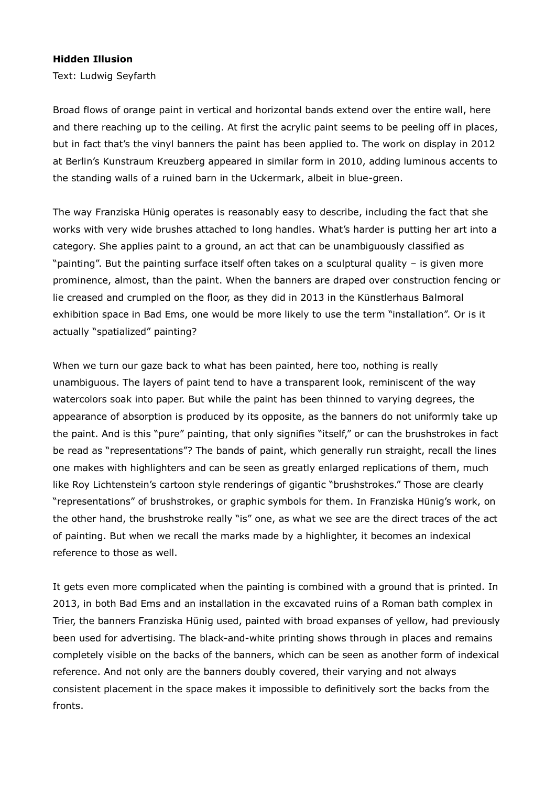## **Hidden Illusion**

Text: Ludwig Seyfarth

Broad flows of orange paint in vertical and horizontal bands extend over the entire wall, here and there reaching up to the ceiling. At first the acrylic paint seems to be peeling off in places, but in fact that's the vinyl banners the paint has been applied to. The work on display in 2012 at Berlin's Kunstraum Kreuzberg appeared in similar form in 2010, adding luminous accents to the standing walls of a ruined barn in the Uckermark, albeit in blue-green.

The way Franziska Hünig operates is reasonably easy to describe, including the fact that she works with very wide brushes attached to long handles. What's harder is putting her art into a category. She applies paint to a ground, an act that can be unambiguously classified as "painting". But the painting surface itself often takes on a sculptural quality – is given more prominence, almost, than the paint. When the banners are draped over construction fencing or lie creased and crumpled on the floor, as they did in 2013 in the Künstlerhaus Balmoral exhibition space in Bad Ems, one would be more likely to use the term "installation". Or is it actually "spatialized" painting?

When we turn our gaze back to what has been painted, here too, nothing is really unambiguous. The layers of paint tend to have a transparent look, reminiscent of the way watercolors soak into paper. But while the paint has been thinned to varying degrees, the appearance of absorption is produced by its opposite, as the banners do not uniformly take up the paint. And is this "pure" painting, that only signifies "itself," or can the brushstrokes in fact be read as "representations"? The bands of paint, which generally run straight, recall the lines one makes with highlighters and can be seen as greatly enlarged replications of them, much like Roy Lichtenstein's cartoon style renderings of gigantic "brushstrokes." Those are clearly "representations" of brushstrokes, or graphic symbols for them. In Franziska Hünig's work, on the other hand, the brushstroke really "is" one, as what we see are the direct traces of the act of painting. But when we recall the marks made by a highlighter, it becomes an indexical reference to those as well.

It gets even more complicated when the painting is combined with a ground that is printed. In 2013, in both Bad Ems and an installation in the excavated ruins of a Roman bath complex in Trier, the banners Franziska Hünig used, painted with broad expanses of yellow, had previously been used for advertising. The black-and-white printing shows through in places and remains completely visible on the backs of the banners, which can be seen as another form of indexical reference. And not only are the banners doubly covered, their varying and not always consistent placement in the space makes it impossible to definitively sort the backs from the fronts.